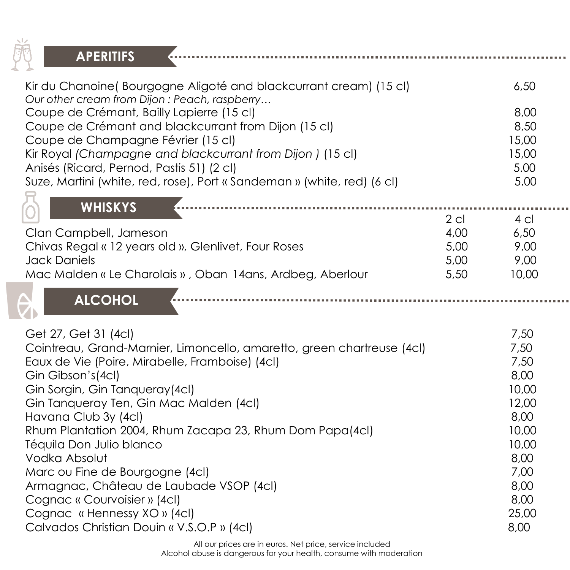

| <b>APERITIFS</b>                                                                                                                                                                                                                                                                                                                                                                                                                                                                                                                                                                 |                                        |                                                                                                                           |
|----------------------------------------------------------------------------------------------------------------------------------------------------------------------------------------------------------------------------------------------------------------------------------------------------------------------------------------------------------------------------------------------------------------------------------------------------------------------------------------------------------------------------------------------------------------------------------|----------------------------------------|---------------------------------------------------------------------------------------------------------------------------|
| Kir du Chanoine (Bourgogne Aligoté and blackcurrant cream) (15 cl)<br>Our other cream from Dijon: Peach, raspberry<br>Coupe de Crémant, Bailly Lapierre (15 cl)<br>Coupe de Crémant and blackcurrant from Dijon (15 cl)<br>Coupe de Champagne Février (15 cl)<br>Kir Royal (Champagne and blackcurrant from Dijon) (15 cl)<br>Anisés (Ricard, Pernod, Pastis 51) (2 cl)<br>Suze, Martini (white, red, rose), Port « Sandeman » (white, red) (6 cl)                                                                                                                               |                                        | 6,50<br>8,00<br>8,50<br>15,00<br>15,00<br>5.00<br>5.00                                                                    |
| <b>WHISKYS</b><br>Clan Campbell, Jameson<br>Chivas Regal « 12 years old », Glenlivet, Four Roses<br><b>Jack Daniels</b><br>Mac Malden « Le Charolais », Oban 14ans, Ardbeg, Aberlour<br><b>ALCOHOL</b>                                                                                                                                                                                                                                                                                                                                                                           | $2$ cl<br>4,00<br>5,00<br>5,00<br>5,50 | $4$ cl<br>6,50<br>9,00<br>9,00<br>10,00                                                                                   |
| Get 27, Get 31 (4cl)<br>Cointreau, Grand-Marnier, Limoncello, amaretto, green chartreuse (4cl)<br>Eaux de Vie (Poire, Mirabelle, Framboise) (4cl)<br>Gin Gibson's(4cl)<br>Gin Sorgin, Gin Tanqueray(4cl)<br>Gin Tanqueray Ten, Gin Mac Malden (4cl)<br>Havana Club 3y (4cl)<br>Rhum Plantation 2004, Rhum Zacapa 23, Rhum Dom Papa(4cl)<br>Téquila Don Julio blanco<br>Vodka Absolut<br>Marc ou Fine de Bourgogne (4cl)<br>Armagnac, Château de Laubade VSOP (4cl)<br>Cognac « Courvoisier » (4cl)<br>Cognac « Hennessy XO » (4cl)<br>Calvados Christian Douin « V.S.O.P » (4cl) |                                        | 7,50<br>7,50<br>7,50<br>8,00<br>10,00<br>12,00<br>8,00<br>10,00<br>10,00<br>8,00<br>7,00<br>8,00<br>8,00<br>25,00<br>8,00 |

**ALCOHOL** 

a a s

All our prices are in euros. Net price, service included Alcohol abuse is dangerous for your health, consume with moderation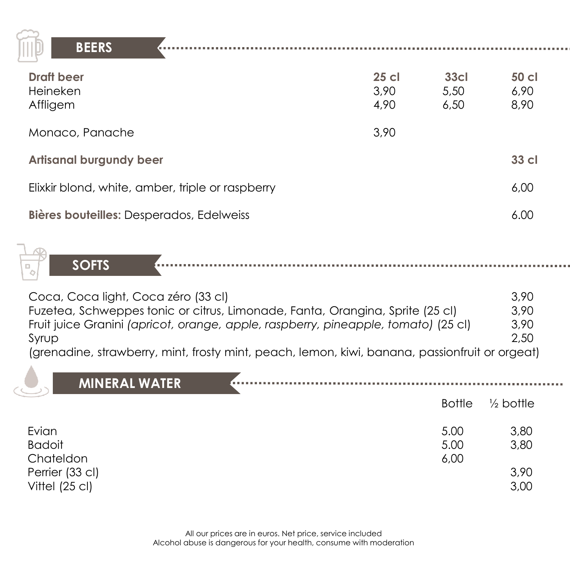

**BEERS**

| <b>Draft beer</b><br>Heineken<br>Affligem        | 25 cl<br>3,90<br>4,90 | 33 <sub>cl</sub><br>5,50<br>6,50 | 50 cl<br>6,90<br>8,90 |
|--------------------------------------------------|-----------------------|----------------------------------|-----------------------|
| Monaco, Panache                                  | 3.90                  |                                  |                       |
| <b>Artisanal burgundy beer</b>                   |                       |                                  | 33 cl                 |
| Elixkir blond, white, amber, triple or raspberry |                       |                                  | 6,00                  |
| Bières bouteilles: Desperados, Edelweiss         |                       |                                  | 6.00                  |

**SOFTS**

| Coca, Coca light, Coca zéro (33 cl)                                                            | 3,90 |
|------------------------------------------------------------------------------------------------|------|
| Fuzetea, Schweppes tonic or citrus, Limonade, Fanta, Orangina, Sprite (25 cl)                  | 3.90 |
| Fruit juice Granini (apricot, orange, apple, raspberry, pineapple, tomato) (25 cl)             | 3,90 |
| Syrup                                                                                          | 2,50 |
| (grenadine, strawberry, mint, frosty mint, peach, lemon, kiwi, banana, passionfruit or orgeat) |      |

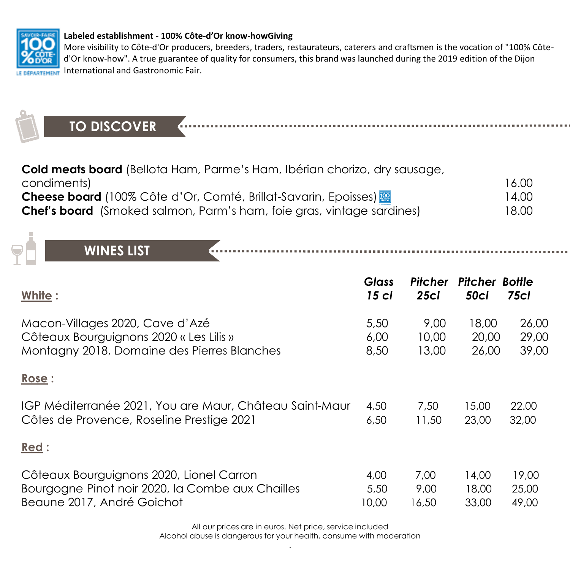

#### **Labeled establishment** - **100% Côte-d'Or know-howGiving**

More visibility to Côte-d'Or producers, breeders, traders, restaurateurs, caterers and craftsmen is the vocation of "100% Côted'Or know-how". A true guarantee of quality for consumers, this brand was launched during the 2019 edition of the Dijon International and Gastronomic Fair.

**TO DISCOVER Cold meats board** (Bellota Ham, Parme's Ham, Ibérian chorizo, dry sausage,

| condiments) |                                                                              |  | 16.00 |
|-------------|------------------------------------------------------------------------------|--|-------|
|             | <b>Cheese board</b> (100% Côte d'Or, Comté, Brillat-Savarin, Epoisses)       |  | 14.00 |
|             | <b>Chef's board</b> (Smoked salmon, Parm's ham, foie gras, vintage sardines) |  | 18.00 |

**WINES LIST**

| White:                                                  | <b>Glass</b><br>$15$ cl | Pitcher<br>25c1 | <b>Pitcher Bottle</b><br><b>50cl</b> | <b>75cl</b> |
|---------------------------------------------------------|-------------------------|-----------------|--------------------------------------|-------------|
| Macon-Villages 2020, Cave d'Azé                         | 5,50                    | 9.00            | 18,00                                | 26,00       |
| Côteaux Bourguignons 2020 « Les Lilis »                 | 6,00                    | 10,00           | 20,00                                | 29,00       |
| Montagny 2018, Domaine des Pierres Blanches             | 8,50                    | 13,00           | 26,00                                | 39,00       |
| Rose:                                                   |                         |                 |                                      |             |
| IGP Méditerranée 2021, You are Maur, Château Saint-Maur | 4,50                    | 7,50            | 15,00                                | 22.00       |
| Côtes de Provence, Roseline Prestige 2021               | 6,50                    | 11,50           | 23,00                                | 32,00       |
| Red:                                                    |                         |                 |                                      |             |
| Côteaux Bourguignons 2020, Lionel Carron                | 4,00                    | 7,00            | 14,00                                | 19,00       |
| Bourgogne Pinot noir 2020, la Combe aux Chailles        | 5,50                    | 9,00            | 18,00                                | 25,00       |
| Beaune 2017, André Goichot                              | 10,00                   | 16,50           | 33,00                                | 49,00       |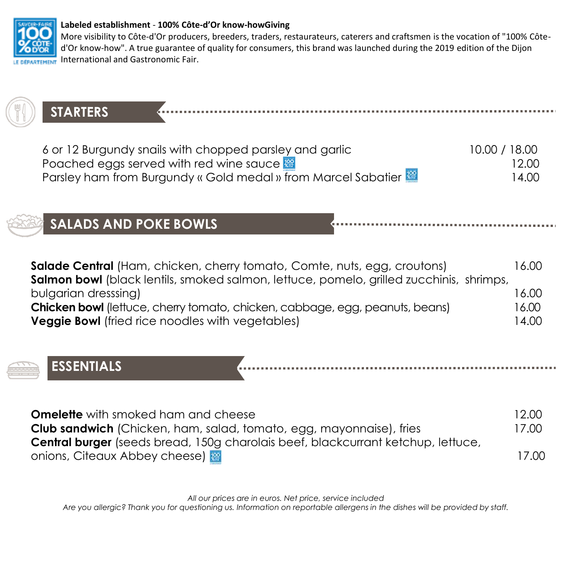

#### **Labeled establishment** - **100% Côte-d'Or know-howGiving**

More visibility to Côte-d'Or producers, breeders, traders, restaurateurs, caterers and craftsmen is the vocation of "100% Côted'Or know-how". A true guarantee of quality for consumers, this brand was launched during the 2019 edition of the Dijon International and Gastronomic Fair.

# **STARTERS**

| 6 or 12 Burgundy snails with chopped parsley and garlic       | 10.00 / 18.00 |
|---------------------------------------------------------------|---------------|
| Poached eggs served with red wine sauce $\frac{100}{200}$     | 12.00         |
| Parsley ham from Burgundy « Gold medal » from Marcel Sabatier | 14.00         |

# **SALADS AND POKE BOWLS**

| <b>Salade Central</b> (Ham, chicken, cherry tomato, Comte, nuts, egg, croutons)                | 16.00 |
|------------------------------------------------------------------------------------------------|-------|
| <b>Salmon bowl</b> (black lentils, smoked salmon, lettuce, pomelo, grilled zucchinis, shrimps, |       |
| bulgarian dresssing)                                                                           | 6.00  |
| <b>Chicken bowl</b> (lettuce, cherry tomato, chicken, cabbage, egg, peanuts, beans)            | 16.00 |
| <b>Veggie Bowl</b> (fried rice noodles with vegetables)                                        | 14.00 |



**ESSENTIALS**

| <b>Omelette</b> with smoked ham and cheese                                              | 12.00 |
|-----------------------------------------------------------------------------------------|-------|
| <b>Club sandwich</b> (Chicken, ham, salad, tomato, egg, mayonnaise), fries              | 17.00 |
| <b>Central burger</b> (seeds bread, 150g charolais beef, blackcurrant ketchup, lettuce, |       |
| onions, Citeaux Abbey cheese)                                                           | 17.00 |

*All our prices are in euros. Net price, service included*

*Are you allergic? Thank you for questioning us. Information on reportable allergens in the dishes will be provided by staff.*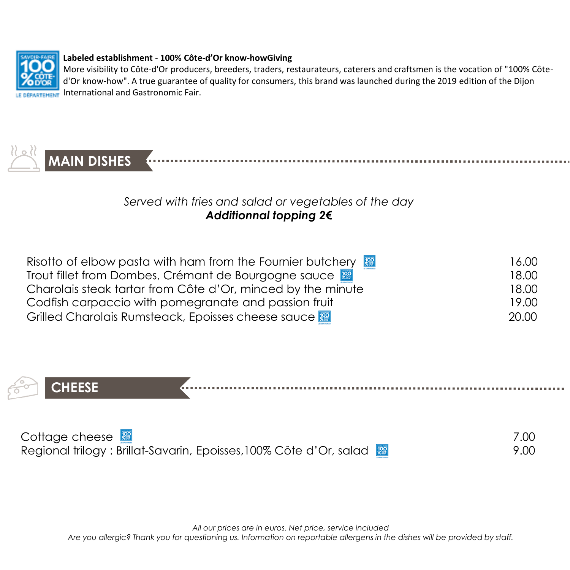

#### **Labeled establishment** - **100% Côte-d'Or know-howGiving**

More visibility to Côte-d'Or producers, breeders, traders, restaurateurs, caterers and craftsmen is the vocation of "100% Côted'Or know-how". A true guarantee of quality for consumers, this brand was launched during the 2019 edition of the Dijon International and Gastronomic Fair.



# *Served with fries and salad or vegetables of the day Additionnal topping 2€*

| Risotto of elbow pasta with ham from the Fournier butchery  | 16.00 |
|-------------------------------------------------------------|-------|
| Trout fillet from Dombes, Crémant de Bourgogne sauce        | 18.00 |
| Charolais steak tartar from Côte d'Or, minced by the minute | 18.00 |
| Codfish carpaccio with pomegranate and passion fruit        | 19.00 |
| Grilled Charolais Rumsteack, Epoisses cheese sauce          | 20.00 |



| Cottage cheese $\mathbb{R}$                                        |      |
|--------------------------------------------------------------------|------|
| Regional trilogy: Brillat-Savarin, Epoisses, 100% Côte d'Or, salad | 9.00 |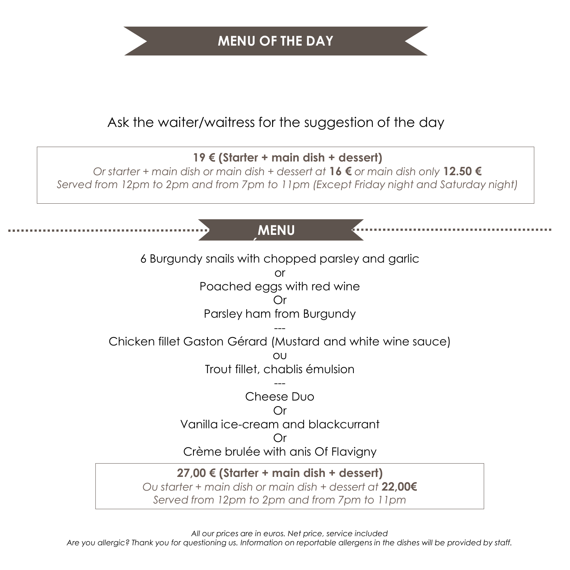# Ask the waiter/waitress for the suggestion of the day

## **19 € (Starter + main dish + dessert)**

*Or starter + main dish or main dish + dessert at* **16 €** *or main dish only* **12.50 €** *Served from 12pm to 2pm and from 7pm to 11pm (Except Friday night and Saturday night)*

# **MENU**

6 Burgundy snails with chopped parsley and garlic

or

Poached eggs with red wine

## Or

Parsley ham from Burgundy

--- Chicken fillet Gaston Gérard (Mustard and white wine sauce)

> $\bigcap$ Trout fillet, chablis émulsion

> > --- Cheese Duo

### Or

Vanilla ice-cream and blackcurrant

## Or

Crème brulée with anis Of Flavigny

## **27,00 € (Starter + main dish + dessert)**

*Ou starter + main dish or main dish + dessert at* **22,00€** *Served from 12pm to 2pm and from 7pm to 11pm*

*All our prices are in euros. Net price, service included*

*Are you allergic? Thank you for questioning us. Information on reportable allergens in the dishes will be provided by staff.*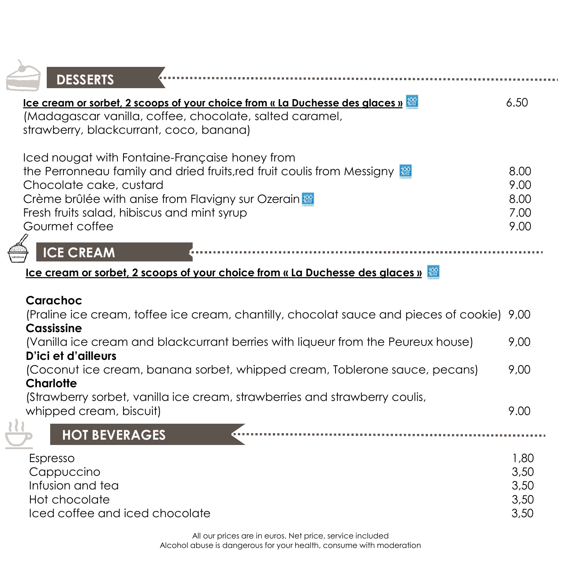| <b>DESSERTS</b>                                                                                                                                                                                                                                                           |                                      |
|---------------------------------------------------------------------------------------------------------------------------------------------------------------------------------------------------------------------------------------------------------------------------|--------------------------------------|
|                                                                                                                                                                                                                                                                           | 6.50                                 |
| lce cream or sorbet, 2 scoops of your choice from « La Duchesse des glaces »<br>(Madagascar vanilla, coffee, chocolate, salted caramel,<br>strawberry, blackcurrant, coco, banana)                                                                                        |                                      |
| Iced nougat with Fontaine-Française honey from<br>the Perronneau family and dried fruits, red fruit coulis from Messigny<br>Chocolate cake, custard<br>Crème brûlée with anise from Flavigny sur Ozerain<br>Fresh fruits salad, hibiscus and mint syrup<br>Gourmet coffee | 8.00<br>9.00<br>8.00<br>7.00<br>9.00 |
| <b>ICE CREAM</b>                                                                                                                                                                                                                                                          |                                      |
| <b>Ice cream or sorbet, 2 scoops of your choice from « La Duchesse des glaces »</b>                                                                                                                                                                                       |                                      |
| Carachoc<br>(Praline ice cream, toffee ice cream, chantilly, chocolat sauce and pieces of cookie) 9,00<br>Cassissine                                                                                                                                                      |                                      |
| (Vanilla ice cream and blackcurrant berries with liqueur from the Peureux house)<br>D'ici et d'ailleurs                                                                                                                                                                   | 9,00                                 |
| (Coconut ice cream, banana sorbet, whipped cream, Toblerone sauce, pecans)<br>Charlotte                                                                                                                                                                                   | 9,00                                 |
| (Strawberry sorbet, vanilla ice cream, strawberries and strawberry coulis,<br>whipped cream, biscuit)                                                                                                                                                                     | 9.00                                 |
| <b>HOT BEVERAGES</b>                                                                                                                                                                                                                                                      |                                      |
| Espresso<br>Cappuccino<br>Infusion and tea<br>Hot chocolate<br>Iced coffee and iced chocolate                                                                                                                                                                             | 1,80<br>3,50<br>3,50<br>3,50<br>3,50 |

Ż